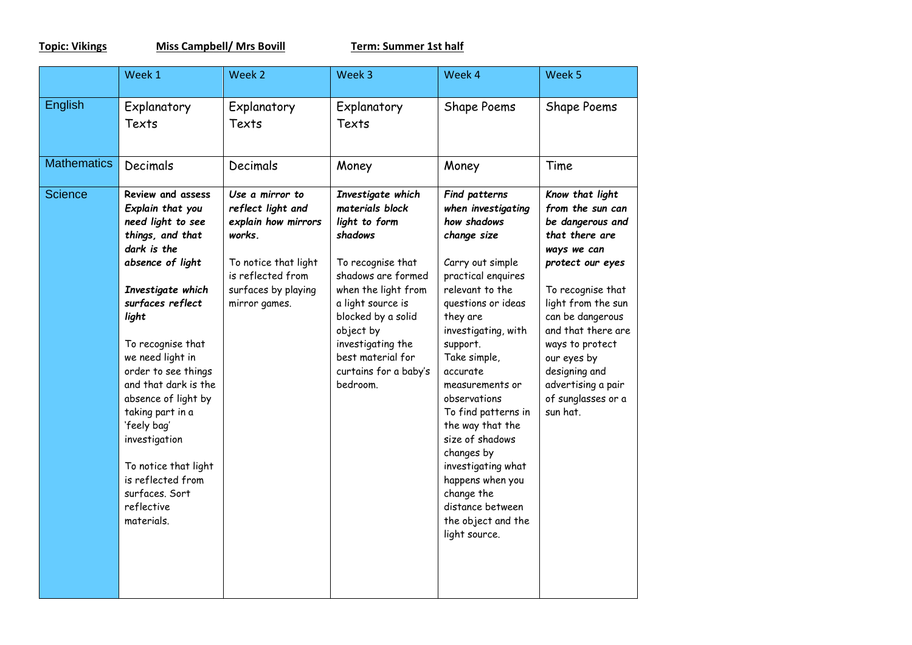**Topic: Vikings Miss Campbell/ Mrs Bovill Term:** Summer 1st half

|                    | Week 1                                                                                                                                                                                                                                                                                                                                                                                                                                   | Week 2                                                                                                                                                     | Week 3                                                                                                                                                                                                                                                                    | Week 4                                                                                                                                                                                                                                                                                                                                                                                                                                                            | Week 5                                                                                                                                                                                                                                                                                                       |
|--------------------|------------------------------------------------------------------------------------------------------------------------------------------------------------------------------------------------------------------------------------------------------------------------------------------------------------------------------------------------------------------------------------------------------------------------------------------|------------------------------------------------------------------------------------------------------------------------------------------------------------|---------------------------------------------------------------------------------------------------------------------------------------------------------------------------------------------------------------------------------------------------------------------------|-------------------------------------------------------------------------------------------------------------------------------------------------------------------------------------------------------------------------------------------------------------------------------------------------------------------------------------------------------------------------------------------------------------------------------------------------------------------|--------------------------------------------------------------------------------------------------------------------------------------------------------------------------------------------------------------------------------------------------------------------------------------------------------------|
| English            | Explanatory<br>Texts                                                                                                                                                                                                                                                                                                                                                                                                                     | Explanatory<br>Texts                                                                                                                                       | Explanatory<br>Texts                                                                                                                                                                                                                                                      | Shape Poems                                                                                                                                                                                                                                                                                                                                                                                                                                                       | Shape Poems                                                                                                                                                                                                                                                                                                  |
| <b>Mathematics</b> | Decimals                                                                                                                                                                                                                                                                                                                                                                                                                                 | Decimals                                                                                                                                                   | Money                                                                                                                                                                                                                                                                     | Money                                                                                                                                                                                                                                                                                                                                                                                                                                                             | Time                                                                                                                                                                                                                                                                                                         |
| <b>Science</b>     | <b>Review and assess</b><br>Explain that you<br>need light to see<br>things, and that<br>dark is the<br>absence of light<br>Investigate which<br>surfaces reflect<br>light<br>To recognise that<br>we need light in<br>order to see things<br>and that dark is the<br>absence of light by<br>taking part in a<br>'feely bag'<br>investigation<br>To notice that light<br>is reflected from<br>surfaces. Sort<br>reflective<br>materials. | Use a mirror to<br>reflect light and<br>explain how mirrors<br>works.<br>To notice that light<br>is reflected from<br>surfaces by playing<br>mirror games. | Investigate which<br>materials block<br>light to form<br>shadows<br>To recognise that<br>shadows are formed<br>when the light from<br>a light source is<br>blocked by a solid<br>object by<br>investigating the<br>best material for<br>curtains for a baby's<br>bedroom. | Find patterns<br>when investigating<br>how shadows<br>change size<br>Carry out simple<br>practical enquires<br>relevant to the<br>questions or ideas<br>they are<br>investigating, with<br>support.<br>Take simple,<br>accurate<br>measurements or<br>observations<br>To find patterns in<br>the way that the<br>size of shadows<br>changes by<br>investigating what<br>happens when you<br>change the<br>distance between<br>the object and the<br>light source. | Know that light<br>from the sun can<br>be dangerous and<br>that there are<br>ways we can<br>protect our eyes<br>To recognise that<br>light from the sun<br>can be dangerous<br>and that there are<br>ways to protect<br>our eyes by<br>designing and<br>advertising a pair<br>of sunglasses or a<br>sun hat. |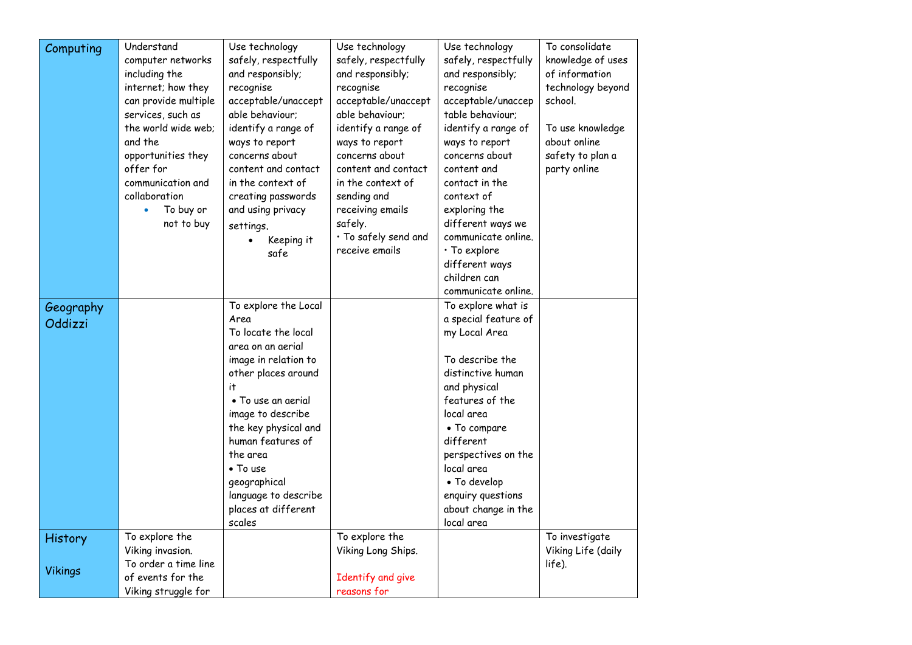| Computing      | Understand             | Use technology       | Use technology       | Use technology       | To consolidate     |
|----------------|------------------------|----------------------|----------------------|----------------------|--------------------|
|                | computer networks      | safely, respectfully | safely, respectfully | safely, respectfully | knowledge of uses  |
|                | including the          | and responsibly;     | and responsibly;     | and responsibly;     | of information     |
|                | internet; how they     | recognise            | recognise            | recognise            | technology beyond  |
|                | can provide multiple   | acceptable/unaccept  | acceptable/unaccept  | acceptable/unaccep   | school.            |
|                | services, such as      | able behaviour;      | able behaviour;      | table behaviour;     |                    |
|                | the world wide web;    | identify a range of  | identify a range of  | identify a range of  | To use knowledge   |
|                | and the                | ways to report       | ways to report       | ways to report       | about online       |
|                | opportunities they     | concerns about       | concerns about       | concerns about       | safety to plan a   |
|                | offer for              | content and contact  | content and contact  | content and          | party online       |
|                | communication and      | in the context of    | in the context of    | contact in the       |                    |
|                | collaboration          | creating passwords   | sending and          | context of           |                    |
|                | To buy or<br>$\bullet$ | and using privacy    | receiving emails     | exploring the        |                    |
|                | not to buy             | settings.            | safely.              | different ways we    |                    |
|                |                        | Keeping it           | · To safely send and | communicate online.  |                    |
|                |                        | safe                 | receive emails       | $\cdot$ To explore   |                    |
|                |                        |                      |                      | different ways       |                    |
|                |                        |                      |                      | children can         |                    |
|                |                        |                      |                      | communicate online.  |                    |
| Geography      |                        | To explore the Local |                      | To explore what is   |                    |
| Oddizzi        |                        | Area                 |                      | a special feature of |                    |
|                |                        | To locate the local  |                      | my Local Area        |                    |
|                |                        | area on an aerial    |                      |                      |                    |
|                |                        | image in relation to |                      | To describe the      |                    |
|                |                        | other places around  |                      | distinctive human    |                    |
|                |                        | it.                  |                      | and physical         |                    |
|                |                        | • To use an aerial   |                      | features of the      |                    |
|                |                        | image to describe    |                      | local area           |                    |
|                |                        | the key physical and |                      | • To compare         |                    |
|                |                        | human features of    |                      | different            |                    |
|                |                        | the area             |                      | perspectives on the  |                    |
|                |                        | • To use             |                      | local area           |                    |
|                |                        | geographical         |                      | • To develop         |                    |
|                |                        | language to describe |                      | enquiry questions    |                    |
|                |                        | places at different  |                      | about change in the  |                    |
|                | To explore the         | scales               | To explore the       | local area           | To investigate     |
| <b>History</b> | Viking invasion.       |                      | Viking Long Ships.   |                      | Viking Life (daily |
|                | To order a time line   |                      |                      |                      | life).             |
| <b>Vikings</b> | of events for the      |                      | Identify and give    |                      |                    |
|                | Viking struggle for    |                      | reasons for          |                      |                    |
|                |                        |                      |                      |                      |                    |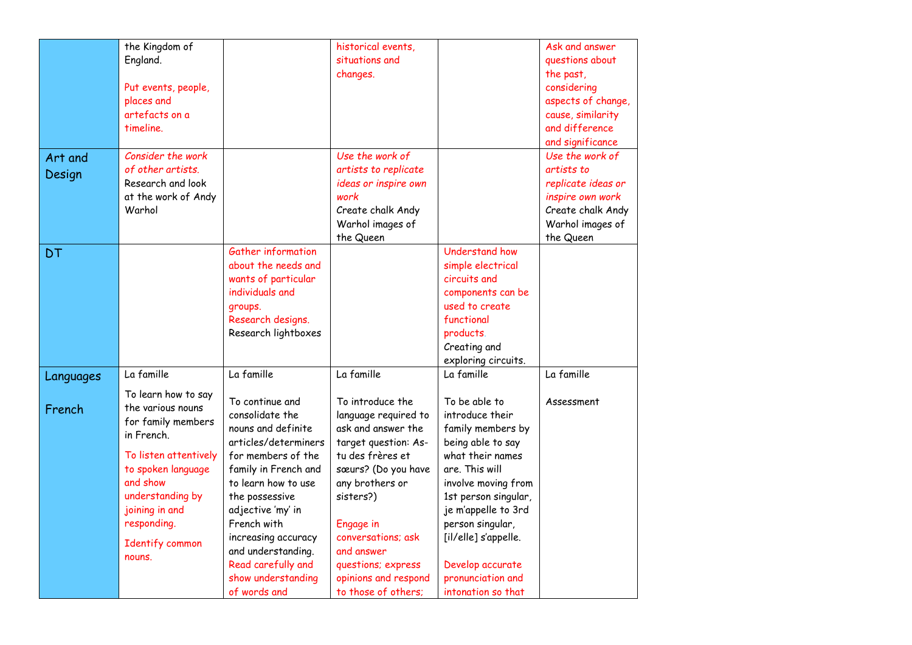|           | the Kingdom of                 |                      | historical events,   |                       | Ask and answer     |
|-----------|--------------------------------|----------------------|----------------------|-----------------------|--------------------|
|           | England.                       |                      | situations and       |                       | questions about    |
|           |                                |                      | changes.             |                       | the past,          |
|           | Put events, people,            |                      |                      |                       | considering        |
|           | places and                     |                      |                      |                       | aspects of change, |
|           | artefacts on a                 |                      |                      |                       | cause, similarity  |
|           | timeline.                      |                      |                      |                       | and difference     |
|           |                                |                      |                      |                       | and significance   |
| Art and   | Consider the work              |                      | Use the work of      |                       | Use the work of    |
| Design    | of other artists.              |                      | artists to replicate |                       | artists to         |
|           | Research and look              |                      | ideas or inspire own |                       | replicate ideas or |
|           | at the work of Andy            |                      | work                 |                       | inspire own work   |
|           | Warhol                         |                      | Create chalk Andy    |                       | Create chalk Andy  |
|           |                                |                      | Warhol images of     |                       | Warhol images of   |
|           |                                |                      | the Queen            |                       | the Queen          |
| DT        |                                | Gather information   |                      | <b>Understand how</b> |                    |
|           |                                | about the needs and  |                      | simple electrical     |                    |
|           |                                | wants of particular  |                      | circuits and          |                    |
|           |                                | individuals and      |                      | components can be     |                    |
|           |                                | groups.              |                      | used to create        |                    |
|           |                                | Research designs.    |                      | functional            |                    |
|           |                                | Research lightboxes  |                      | products.             |                    |
|           |                                |                      |                      | Creating and          |                    |
|           |                                |                      |                      | exploring circuits.   |                    |
| Languages | La famille                     | La famille           | La famille           | La famille            | La famille         |
|           | To learn how to say            |                      |                      |                       |                    |
| French    | the various nouns              | To continue and      | To introduce the     | To be able to         | Assessment         |
|           | for family members             | consolidate the      | language required to | introduce their       |                    |
|           | in French.                     | nouns and definite   | ask and answer the   | family members by     |                    |
|           |                                | articles/determiners | target question: As- | being able to say     |                    |
|           | To listen attentively          | for members of the   | tu des frères et     | what their names      |                    |
|           | to spoken language<br>and show | family in French and | sœurs? (Do you have  | are. This will        |                    |
|           |                                | to learn how to use  | any brothers or      | involve moving from   |                    |
|           | understanding by               | the possessive       | sisters?)            | 1st person singular,  |                    |
|           | joining in and                 | adjective 'my' in    |                      | je m'appelle to 3rd   |                    |
|           | responding.                    | French with          | Engage in            | person singular,      |                    |
|           | Identify common                | increasing accuracy  | conversations; ask   | [il/elle] s'appelle.  |                    |
|           | nouns.                         | and understanding.   | and answer           |                       |                    |
|           |                                | Read carefully and   | questions; express   | Develop accurate      |                    |
|           |                                | show understanding   | opinions and respond | pronunciation and     |                    |
|           |                                | of words and         | to those of others;  | intonation so that    |                    |